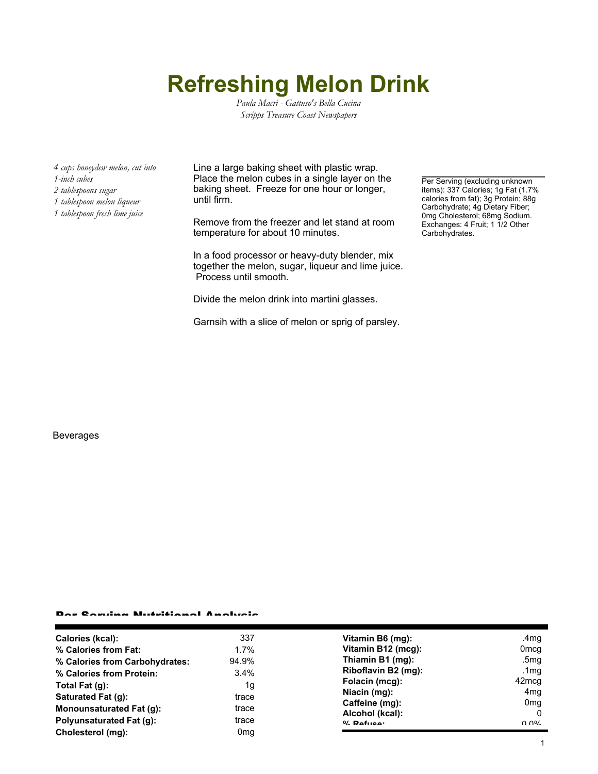# **Refreshing Melon Drink**

*Paula Macri - Gattuso's Bella Cucina Scripps Treasure Coast Newspapers*

*4 cups honeydew melon, cut into 1-inch cubes*

- *2 tablespoons sugar*
- *1 tablespoon melon liqueur*
- *1 tablespoon fresh lime juice*

Line a large baking sheet with plastic wrap. Place the melon cubes in a single layer on the baking sheet. Freeze for one hour or longer, until firm.

Remove from the freezer and let stand at room temperature for about 10 minutes.

In a food processor or heavy-duty blender, mix together the melon, sugar, liqueur and lime juice. Process until smooth.

Divide the melon drink into martini glasses.

Garnsih with a slice of melon or sprig of parsley.

Per Serving (excluding unknown items): 337 Calories; 1g Fat (1.7% calories from fat); 3g Protein; 88g Carbohydrate; 4g Dietary Fiber; 0mg Cholesterol; 68mg Sodium. Exchanges: 4 Fruit; 1 1/2 Other Carbohydrates.

#### Beverages

### Per Serving Nutritional Analysis

| <b>Calories (kcal):</b>        | 337             | Vitamin B6 (mg):                  | .4mg                        |
|--------------------------------|-----------------|-----------------------------------|-----------------------------|
|                                |                 |                                   |                             |
| % Calories from Fat:           | $1.7\%$         | Vitamin B12 (mcg):                | 0 <sub>mcg</sub>            |
| % Calories from Carbohydrates: | 94.9%           | Thiamin B1 (mg):                  | .5mg                        |
| % Calories from Protein:       | 3.4%            | Riboflavin B2 (mg):               | .1 $mg$                     |
| Total Fat $(q)$ :              | 1g              | Folacin (mcg):                    | 42mcq                       |
| Saturated Fat (g):             | trace           | Niacin (mg):                      | 4 <sub>mq</sub>             |
| Monounsaturated Fat (q):       | trace           | Caffeine (mg):<br>Alcohol (kcal): | 0 <sub>mq</sub><br>$\Omega$ |
| Polyunsaturated Fat (q):       | trace           | $0/2$ Pofileo:                    | በ በ%                        |
| Cholesterol (mg):              | 0 <sub>mg</sub> |                                   |                             |